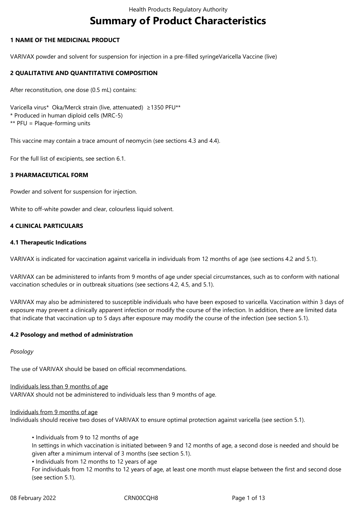# **Summary of Product Characteristics**

#### **1 NAME OF THE MEDICINAL PRODUCT**

VARIVAX powder and solvent for suspension for injection in a pre-filled syringeVaricella Vaccine (live)

### **2 QUALITATIVE AND QUANTITATIVE COMPOSITION**

After reconstitution, one dose (0.5 mL) contains:

Varicella virus\* Oka/Merck strain (live, attenuated) ≥1350 PFU\*\* \* Produced in human diploid cells (MRC-5) \*\* PFU = Plaque-forming units

This vaccine may contain a trace amount of neomycin (see sections 4.3 and 4.4).

For the full list of excipients, see section 6.1.

#### **3 PHARMACEUTICAL FORM**

Powder and solvent for suspension for injection.

White to off-white powder and clear, colourless liquid solvent.

#### **4 CLINICAL PARTICULARS**

#### **4.1 Therapeutic Indications**

VARIVAX is indicated for vaccination against varicella in individuals from 12 months of age (see sections 4.2 and 5.1).

VARIVAX can be administered to infants from 9 months of age under special circumstances, such as to conform with national vaccination schedules or in outbreak situations (see sections 4.2, 4.5, and 5.1).

VARIVAX may also be administered to susceptible individuals who have been exposed to varicella. Vaccination within 3 days of exposure may prevent a clinically apparent infection or modify the course of the infection. In addition, there are limited data that indicate that vaccination up to 5 days after exposure may modify the course of the infection (see section 5.1).

#### **4.2 Posology and method of administration**

#### *Posology*

The use of VARIVAX should be based on official recommendations.

Individuals less than 9 months of age VARIVAX should not be administered to individuals less than 9 months of age.

Individuals from 9 months of age

Individuals should receive two doses of VARIVAX to ensure optimal protection against varicella (see section 5.1).

• Individuals from 9 to 12 months of age

In settings in which vaccination is initiated between 9 and 12 months of age, a second dose is needed and should be given after a minimum interval of 3 months (see section 5.1).

• Individuals from 12 months to 12 years of age

For individuals from 12 months to 12 years of age, at least one month must elapse between the first and second dose (see section 5.1).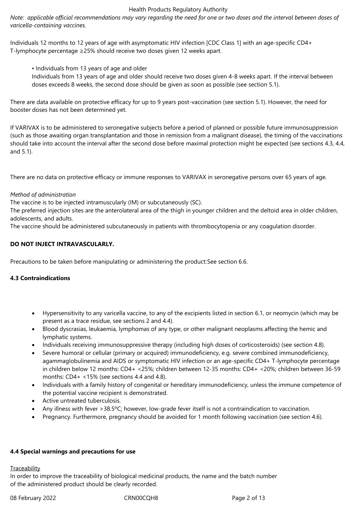*Note: applicable official recommendations may vary regarding the need for one or two doses and the interval between doses of varicella-containing vaccines.*

Individuals 12 months to 12 years of age with asymptomatic HIV infection [CDC Class 1] with an age-specific CD4+ T-lymphocyte percentage ≥25% should receive two doses given 12 weeks apart.

• Individuals from 13 years of age and older

Individuals from 13 years of age and older should receive two doses given 4-8 weeks apart. If the interval between doses exceeds 8 weeks, the second dose should be given as soon as possible (see section 5.1).

There are data available on protective efficacy for up to 9 years post-vaccination (see section 5.1). However, the need for booster doses has not been determined yet.

If VARIVAX is to be administered to seronegative subjects before a period of planned or possible future immunosuppression (such as those awaiting organ transplantation and those in remission from a malignant disease), the timing of the vaccinations should take into account the interval after the second dose before maximal protection might be expected (see sections 4.3, 4.4, and 5.1).

There are no data on protective efficacy or immune responses to VARIVAX in seronegative persons over 65 years of age.

# *Method of administration*

The vaccine is to be injected intramuscularly (IM) or subcutaneously (SC).

The preferred injection sites are the anterolateral area of the thigh in younger children and the deltoid area in older children, adolescents, and adults.

The vaccine should be administered subcutaneously in patients with thrombocytopenia or any coagulation disorder.

# **DO NOT INJECT INTRAVASCULARLY.**

Precautions to be taken before manipulating or administering the product:See section 6.6.

#### **4.3 Contraindications**

- Hypersensitivity to any varicella vaccine, to any of the excipients listed in section 6.1, or neomycin (which may be present as a trace residue, see sections 2 and 4.4).
- Blood dyscrasias, leukaemia, lymphomas of any type, or other malignant neoplasms affecting the hemic and lymphatic systems.
- Individuals receiving immunosuppressive therapy (including high doses of corticosteroids) (see section 4.8).
- Severe humoral or cellular (primary or acquired) immunodeficiency, e.g. severe combined immunodeficiency, agammaglobulinemia and AIDS or symptomatic HIV infection or an age-specific CD4+ T-lymphocyte percentage in children below 12 months: CD4+ <25%; children between 12-35 months: CD4+ <20%; children between 36-59 months: CD4+ <15% (see sections 4.4 and 4.8).
- Individuals with a family history of congenital or hereditary immunodeficiency, unless the immune competence of the potential vaccine recipient is demonstrated.
- Active untreated tuberculosis.
- Any illness with fever >38.5ºC; however, low-grade fever itself is not a contraindication to vaccination.
- Pregnancy. Furthermore, pregnancy should be avoided for 1 month following vaccination (see section 4.6).

#### **4.4 Special warnings and precautions for use**

#### **Traceability**

In order to improve the traceability of biological medicinal products, the name and the batch number of the administered product should be clearly recorded.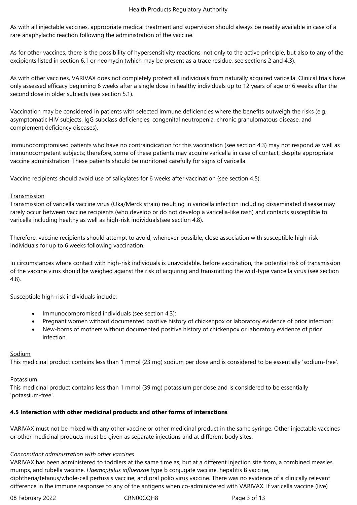As with all injectable vaccines, appropriate medical treatment and supervision should always be readily available in case of a rare anaphylactic reaction following the administration of the vaccine.

As for other vaccines, there is the possibility of hypersensitivity reactions, not only to the active principle, but also to any of the excipients listed in section 6.1 or neomycin (which may be present as a trace residue, see sections 2 and 4.3).

As with other vaccines, VARIVAX does not completely protect all individuals from naturally acquired varicella. Clinical trials have only assessed efficacy beginning 6 weeks after a single dose in healthy individuals up to 12 years of age or 6 weeks after the second dose in older subjects (see section 5.1).

Vaccination may be considered in patients with selected immune deficiencies where the benefits outweigh the risks (e.g., asymptomatic HIV subjects, IgG subclass deficiencies, congenital neutropenia, chronic granulomatous disease, and complement deficiency diseases).

Immunocompromised patients who have no contraindication for this vaccination (see section 4.3) may not respond as well as immunocompetent subjects; therefore, some of these patients may acquire varicella in case of contact, despite appropriate vaccine administration. These patients should be monitored carefully for signs of varicella.

Vaccine recipients should avoid use of salicylates for 6 weeks after vaccination (see section 4.5).

#### **Transmission**

Transmission of varicella vaccine virus (Oka/Merck strain) resulting in varicella infection including disseminated disease may rarely occur between vaccine recipients (who develop or do not develop a varicella-like rash) and contacts susceptible to varicella including healthy as well as high-risk individuals(see section 4.8).

Therefore, vaccine recipients should attempt to avoid, whenever possible, close association with susceptible high-risk individuals for up to 6 weeks following vaccination.

In circumstances where contact with high-risk individuals is unavoidable, before vaccination, the potential risk of transmission of the vaccine virus should be weighed against the risk of acquiring and transmitting the wild-type varicella virus (see section 4.8).

Susceptible high-risk individuals include:

- Immunocompromised individuals (see section 4.3);
- Pregnant women without documented positive history of chickenpox or laboratory evidence of prior infection;
- New-borns of mothers without documented positive history of chickenpox or laboratory evidence of prior infection.

Sodium

This medicinal product contains less than 1 mmol (23 mg) sodium per dose and is considered to be essentially 'sodium-free'.

#### Potassium

This medicinal product contains less than 1 mmol (39 mg) potassium per dose and is considered to be essentially 'potassium-free'.

#### **4.5 Interaction with other medicinal products and other forms of interactions**

VARIVAX must not be mixed with any other vaccine or other medicinal product in the same syringe. Other injectable vaccines or other medicinal products must be given as separate injections and at different body sites.

#### *Concomitant administration with other vaccines*

VARIVAX has been administered to toddlers at the same time as, but at a different injection site from, a combined measles, mumps, and rubella vaccine, *Haemophilus influenzae* type b conjugate vaccine, hepatitis B vaccine,

diphtheria/tetanus/whole-cell pertussis vaccine, and oral polio virus vaccine. There was no evidence of a clinically relevant difference in the immune responses to any of the antigens when co-administered with VARIVAX. If varicella vaccine (live)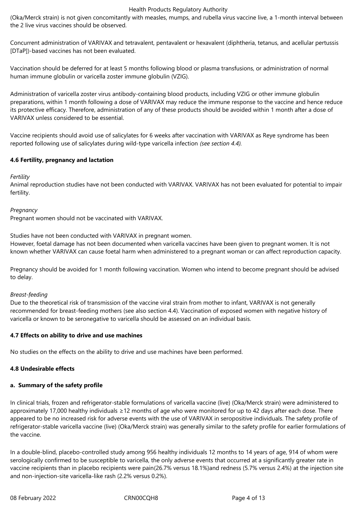(Oka/Merck strain) is not given concomitantly with measles, mumps, and rubella virus vaccine live, a 1-month interval between the 2 live virus vaccines should be observed.

Concurrent administration of VARIVAX and tetravalent, pentavalent or hexavalent (diphtheria, tetanus, and acellular pertussis [DTaP])-based vaccines has not been evaluated.

Vaccination should be deferred for at least 5 months following blood or plasma transfusions, or administration of normal human immune globulin or varicella zoster immune globulin (VZIG).

Administration of varicella zoster virus antibody-containing blood products, including VZIG or other immune globulin preparations, within 1 month following a dose of VARIVAX may reduce the immune response to the vaccine and hence reduce its protective efficacy. Therefore, administration of any of these products should be avoided within 1 month after a dose of VARIVAX unless considered to be essential.

Vaccine recipients should avoid use of salicylates for 6 weeks after vaccination with VARIVAX as Reye syndrome has been reported following use of salicylates during wild-type varicella infection *(see section 4.4).*

# **4.6 Fertility, pregnancy and lactation**

#### *Fertility*

Animal reproduction studies have not been conducted with VARIVAX. VARIVAX has not been evaluated for potential to impair fertility.

#### *Pregnancy*

Pregnant women should not be vaccinated with VARIVAX.

Studies have not been conducted with VARIVAX in pregnant women.

However, foetal damage has not been documented when varicella vaccines have been given to pregnant women. It is not known whether VARIVAX can cause foetal harm when administered to a pregnant woman or can affect reproduction capacity.

Pregnancy should be avoided for 1 month following vaccination. Women who intend to become pregnant should be advised to delay.

#### *Breast-feeding*

Due to the theoretical risk of transmission of the vaccine viral strain from mother to infant, VARIVAX is not generally recommended for breast*-*feeding mothers (see also section 4.4). Vaccination of exposed women with negative history of varicella or known to be seronegative to varicella should be assessed on an individual basis.

#### **4.7 Effects on ability to drive and use machines**

No studies on the effects on the ability to drive and use machines have been performed.

# **4.8 Undesirable effects**

# **a. Summary of the safety profile**

In clinical trials, frozen and refrigerator-stable formulations of varicella vaccine (live) (Oka/Merck strain) were administered to approximately 17,000 healthy individuals ≥12 months of age who were monitored for up to 42 days after each dose. There appeared to be no increased risk for adverse events with the use of VARIVAX in seropositive individuals. The safety profile of refrigerator-stable varicella vaccine (live) (Oka/Merck strain) was generally similar to the safety profile for earlier formulations of the vaccine.

In a double-blind, placebo-controlled study among 956 healthy individuals 12 months to 14 years of age, 914 of whom were serologically confirmed to be susceptible to varicella, the only adverse events that occurred at a significantly greater rate in vaccine recipients than in placebo recipients were pain(26.7% versus 18.1%)and redness (5.7% versus 2.4%) at the injection site and non-injection-site varicella-like rash (2.2% versus 0.2%).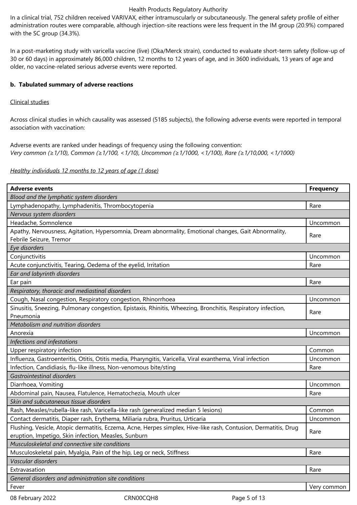In a clinical trial, 752 children received VARIVAX, either intramuscularly or subcutaneously. The general safety profile of either administration routes were comparable, although injection-site reactions were less frequent in the IM group (20.9%) compared with the SC group (34.3%).

In a post-marketing study with varicella vaccine (live) (Oka/Merck strain), conducted to evaluate short-term safety (follow-up of 30 or 60 days) in approximately 86,000 children, 12 months to 12 years of age, and in 3600 individuals, 13 years of age and older, no vaccine-related serious adverse events were reported.

# **b. Tabulated summary of adverse reactions**

# Clinical studies

Across clinical studies in which causality was assessed (5185 subjects), the following adverse events were reported in temporal association with vaccination:

Adverse events are ranked under headings of frequency using the following convention: *Very common (≥1/10), Common (≥1/100, <1/10), Uncommon (≥1/1000, <1/100), Rare (≥1/10,000, <1/1000)*

# *Healthy individuals 12 months to 12 years of age (1 dose)*

| <b>Adverse events</b>                                                                                           | <b>Frequency</b> |  |  |  |  |
|-----------------------------------------------------------------------------------------------------------------|------------------|--|--|--|--|
| Blood and the lymphatic system disorders                                                                        |                  |  |  |  |  |
| Lymphadenopathy, Lymphadenitis, Thrombocytopenia                                                                | Rare             |  |  |  |  |
| Nervous system disorders                                                                                        |                  |  |  |  |  |
| Headache, Somnolence                                                                                            | Uncommon         |  |  |  |  |
| Apathy, Nervousness, Agitation, Hypersomnia, Dream abnormality, Emotional changes, Gait Abnormality,            | Rare             |  |  |  |  |
| Febrile Seizure, Tremor                                                                                         |                  |  |  |  |  |
| Eye disorders                                                                                                   |                  |  |  |  |  |
| Conjunctivitis                                                                                                  | Uncommon         |  |  |  |  |
| Acute conjunctivitis, Tearing, Oedema of the eyelid, Irritation                                                 | Rare             |  |  |  |  |
| Ear and labyrinth disorders                                                                                     |                  |  |  |  |  |
| Ear pain                                                                                                        | Rare             |  |  |  |  |
| Respiratory, thoracic and mediastinal disorders                                                                 |                  |  |  |  |  |
| Cough, Nasal congestion, Respiratory congestion, Rhinorrhoea                                                    | Uncommon         |  |  |  |  |
| Sinusitis, Sneezing, Pulmonary congestion, Epistaxis, Rhinitis, Wheezing, Bronchitis, Respiratory infection,    | Rare             |  |  |  |  |
| Pneumonia                                                                                                       |                  |  |  |  |  |
| Metabolism and nutrition disorders                                                                              |                  |  |  |  |  |
| Anorexia                                                                                                        | Uncommon         |  |  |  |  |
| Infections and infestations                                                                                     |                  |  |  |  |  |
| Upper respiratory infection                                                                                     | Common           |  |  |  |  |
| Influenza, Gastroenteritis, Otitis, Otitis media, Pharyngitis, Varicella, Viral exanthema, Viral infection      | Uncommon         |  |  |  |  |
| Infection, Candidiasis, flu-like illness, Non-venomous bite/sting                                               | Rare             |  |  |  |  |
| Gastrointestinal disorders                                                                                      |                  |  |  |  |  |
| Diarrhoea, Vomiting                                                                                             | Uncommon         |  |  |  |  |
| Abdominal pain, Nausea, Flatulence, Hematochezia, Mouth ulcer                                                   | Rare             |  |  |  |  |
| Skin and subcutaneous tissue disorders                                                                          |                  |  |  |  |  |
| Rash, Measles/rubella-like rash, Varicella-like rash (generalized median 5 lesions)                             | Common           |  |  |  |  |
| Contact dermatitis, Diaper rash, Erythema, Miliaria rubra, Pruritus, Urticaria                                  | Uncommon         |  |  |  |  |
| Flushing, Vesicle, Atopic dermatitis, Eczema, Acne, Herpes simplex, Hive-like rash, Contusion, Dermatitis, Drug | Rare             |  |  |  |  |
| eruption, Impetigo, Skin infection, Measles, Sunburn                                                            |                  |  |  |  |  |
| Musculoskeletal and connective site conditions                                                                  |                  |  |  |  |  |
| Musculoskeletal pain, Myalgia, Pain of the hip, Leg or neck, Stiffness                                          | Rare             |  |  |  |  |
| Vascular disorders                                                                                              |                  |  |  |  |  |
| Extravasation                                                                                                   | Rare             |  |  |  |  |
| General disorders and administration site conditions                                                            |                  |  |  |  |  |
| Fever                                                                                                           | Very common      |  |  |  |  |

08 February 2022 CRN00CQH8 CRN00CQH8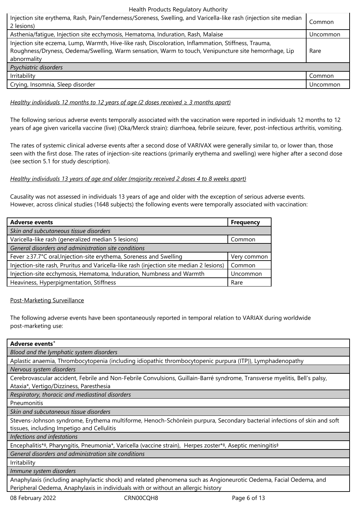| Injection site erythema, Rash, Pain/Tenderness/Soreness, Swelling, and Varicella-like rash (injection site median<br>2 lesions)                                                                                             | Common   |
|-----------------------------------------------------------------------------------------------------------------------------------------------------------------------------------------------------------------------------|----------|
| Asthenia/fatique, Injection site ecchymosis, Hematoma, Induration, Rash, Malaise                                                                                                                                            | Uncommon |
| Injection site eczema, Lump, Warmth, Hive-like rash, Discoloration, Inflammation, Stiffness, Trauma,<br>Roughness/Dryness, Oedema/Swelling, Warm sensation, Warm to touch, Venipuncture site hemorrhage, Lip<br>abnormality | Rare     |
| Psychiatric disorders                                                                                                                                                                                                       |          |
| Irritability                                                                                                                                                                                                                | Common   |
| Crying, Insomnia, Sleep disorder                                                                                                                                                                                            | Uncommon |

## *Healthy individuals 12 months to 12 years of age (2 doses received ≥ 3 months apart)*

The following serious adverse events temporally associated with the vaccination were reported in individuals 12 months to 12 years of age given varicella vaccine (live) (Oka/Merck strain): diarrhoea, febrile seizure, fever, post-infectious arthritis, vomiting.

The rates of systemic clinical adverse events after a second dose of VARIVAX were generally similar to, or lower than, those seen with the first dose. The rates of injection-site reactions (primarily erythema and swelling) were higher after a second dose (see section 5.1 for study description).

#### *Healthy individuals 13 years of age and older (majority received 2 doses 4 to 8 weeks apart)*

Causality was not assessed in individuals 13 years of age and older with the exception of serious adverse events. However, across clinical studies (1648 subjects) the following events were temporally associated with vaccination:

| <b>Adverse events</b>                                                                   | <b>Frequency</b> |  |  |
|-----------------------------------------------------------------------------------------|------------------|--|--|
| Skin and subcutaneous tissue disorders                                                  |                  |  |  |
| Varicella-like rash (generalized median 5 lesions)                                      | Common           |  |  |
| General disorders and administration site conditions                                    |                  |  |  |
| Fever ≥37.7°C oral, Injection-site erythema, Soreness and Swelling                      | Very common      |  |  |
| Injection-site rash, Pruritus and Varicella-like rash (injection site median 2 lesions) | Common           |  |  |
| Injection-site ecchymosis, Hematoma, Induration, Numbness and Warmth                    | Uncommon         |  |  |
| Heaviness, Hyperpigmentation, Stiffness                                                 | Rare             |  |  |

#### Post-Marketing Surveillance

The following adverse events have been spontaneously reported in temporal relation to VARIAX during worldwide post-marketing use:

| Adverse events <sup>+</sup>                                                                                                |
|----------------------------------------------------------------------------------------------------------------------------|
| Blood and the lymphatic system disorders                                                                                   |
| Aplastic anaemia, Thrombocytopenia (including idiopathic thrombocytopenic purpura (ITP)), Lymphadenopathy                  |
| Nervous system disorders                                                                                                   |
| Cerebrovascular accident, Febrile and Non-Febrile Convulsions, Guillain-Barré syndrome, Transverse myelitis, Bell's palsy, |
| Ataxia*, Vertigo/Dizziness, Paresthesia                                                                                    |
| Respiratory, thoracic and mediastinal disorders                                                                            |
| Pneumonitis                                                                                                                |
| Skin and subcutaneous tissue disorders                                                                                     |
| Stevens-Johnson syndrome, Erythema multiforme, Henoch-Schönlein purpura, Secondary bacterial infections of skin and soft   |
| tissues, including Impetigo and Cellulitis                                                                                 |
| Infections and infestations                                                                                                |
| Encephalitis*‡, Pharyngitis, Pneumonia*, Varicella (vaccine strain), Herpes zoster*‡, Aseptic meningitis‡                  |
| General disorders and administration site conditions                                                                       |
| Irritability                                                                                                               |
| Immune system disorders                                                                                                    |
| Anaphylaxis (including anaphylactic shock) and related phenomena such as Angioneurotic Oedema, Facial Oedema, and          |
| Peripheral Oedema, Anaphylaxis in individuals with or without an allergic history                                          |
| CRN00CQH8<br>08 February 2022<br>Page 6 of 13                                                                              |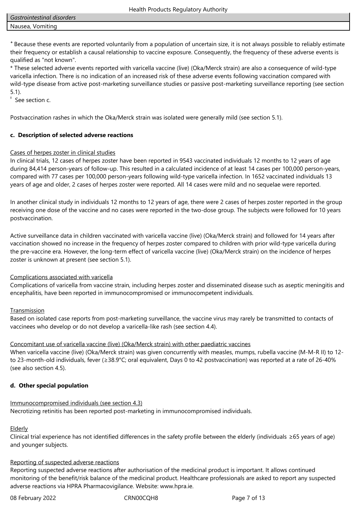**<sup>+</sup>**Because these events are reported voluntarily from a population of uncertain size, it is not always possible to reliably estimate their frequency or establish a causal relationship to vaccine exposure. Consequently, the frequency of these adverse events is qualified as "not known".

\* These selected adverse events reported with varicella vaccine (live) (Oka/Merck strain) are also a consequence of wild-type varicella infection. There is no indication of an increased risk of these adverse events following vaccination compared with wild-type disease from active post-marketing surveillance studies or passive post-marketing surveillance reporting (see section 5.1).

‡ See section c.

Postvaccination rashes in which the Oka/Merck strain was isolated were generally mild (see section 5.1).

# **c. Description of selected adverse reactions**

# Cases of herpes zoster in clinical studies

In clinical trials, 12 cases of herpes zoster have been reported in 9543 vaccinated individuals 12 months to 12 years of age during 84,414 person-years of follow-up. This resulted in a calculated incidence of at least 14 cases per 100,000 person-years, compared with 77 cases per 100,000 person-years following wild-type varicella infection. In 1652 vaccinated individuals 13 years of age and older, 2 cases of herpes zoster were reported. All 14 cases were mild and no sequelae were reported.

In another clinical study in individuals 12 months to 12 years of age, there were 2 cases of herpes zoster reported in the group receiving one dose of the vaccine and no cases were reported in the two-dose group. The subjects were followed for 10 years postvaccination.

Active surveillance data in children vaccinated with varicella vaccine (live) (Oka/Merck strain) and followed for 14 years after vaccination showed no increase in the frequency of herpes zoster compared to children with prior wild-type varicella during the pre-vaccine era. However, the long-term effect of varicella vaccine (live) (Oka/Merck strain) on the incidence of herpes zoster is unknown at present (see section 5.1).

# Complications associated with varicella

Complications of varicella from vaccine strain, including herpes zoster and disseminated disease such as aseptic meningitis and encephalitis, have been reported in immunocompromised or immunocompetent individuals.

#### **Transmission**

Based on isolated case reports from post-marketing surveillance, the vaccine virus may rarely be transmitted to contacts of vaccinees who develop or do not develop a varicella-like rash (see section 4.4).

# Concomitant use of varicella vaccine (live) (Oka/Merck strain) with other paediatric vaccines

When varicella vaccine (live) (Oka/Merck strain) was given concurrently with measles, mumps, rubella vaccine (M-M-R II) to 12 to 23-month-old individuals, fever (≥38.9°C; oral equivalent, Days 0 to 42 postvaccination) was reported at a rate of 26-40% (see also section 4.5).

# **d. Other special population**

# Immunocompromised individuals (see section 4.3)

Necrotizing retinitis has been reported post-marketing in immunocompromised individuals.

#### **Elderly**

Clinical trial experience has not identified differences in the safety profile between the elderly (individuals ≥65 years of age) and younger subjects.

# Reporting of suspected adverse reactions

Reporting suspected adverse reactions after authorisation of the medicinal product is important. It allows continued monitoring of the benefit/risk balance of the medicinal product. Healthcare professionals are asked to report any suspected adverse reactions via HPRA Pharmacovigilance. Website: www.hpra.ie.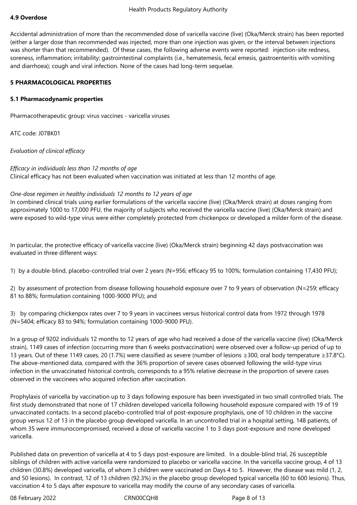#### **4.9 Overdose**

Accidental administration of more than the recommended dose of varicella vaccine (live) (Oka/Merck strain) has been reported (either a larger dose than recommended was injected, more than one injection was given, or the interval between injections was shorter than that recommended). Of these cases, the following adverse events were reported: injection-site redness, soreness, inflammation; irritability; gastrointestinal complaints (i.e., hematemesis, fecal emesis, gastroenteritis with vomiting and diarrhoea); cough and viral infection. None of the cases had long-term sequelae.

#### **5 PHARMACOLOGICAL PROPERTIES**

#### **5.1 Pharmacodynamic properties**

Pharmacotherapeutic group: virus vaccines - varicella viruses

ATC code: J07BK01

*Evaluation of clinical efficacy*

#### *Efficacy in individuals less than 12 months of age*

Clinical efficacy has not been evaluated when vaccination was initiated at less than 12 months of age.

#### *One-dose regimen in healthy individuals 12 months to 12 years of age*

In combined clinical trials using earlier formulations of the varicella vaccine (live) (Oka/Merck strain) at doses ranging from approximately 1000 to 17,000 PFU, the majority of subjects who received the varicella vaccine (live) (Oka/Merck strain) and were exposed to wild-type virus were either completely protected from chickenpox or developed a milder form of the disease.

In particular, the protective efficacy of varicella vaccine (live) (Oka/Merck strain) beginning 42 days postvaccination was evaluated in three different ways:

1) by a double-blind, placebo-controlled trial over 2 years (N=956; efficacy 95 to 100%; formulation containing 17,430 PFU);

2) by assessment of protection from disease following household exposure over 7 to 9 years of observation (N=259; efficacy 81 to 88%; formulation containing 1000-9000 PFU); and

3) by comparing chickenpox rates over 7 to 9 years in vaccinees versus historical control data from 1972 through 1978 (N=5404; efficacy 83 to 94%; formulation containing 1000-9000 PFU).

In a group of 9202 individuals 12 months to 12 years of age who had received a dose of the varicella vaccine (live) (Oka/Merck strain), 1149 cases of infection (occurring more than 6 weeks postvaccination) were observed over a follow-up period of up to 13 years. Out of these 1149 cases, 20 (1.7%) were classified as severe (number of lesions ≥300, oral body temperature ≥37.8°C). The above-mentioned data, compared with the 36% proportion of severe cases observed following the wild-type virus infection in the unvaccinated historical controls, corresponds to a 95% relative decrease in the proportion of severe cases observed in the vaccinees who acquired infection after vaccination.

Prophylaxis of varicella by vaccination up to 3 days following exposure has been investigated in two small controlled trials. The first study demonstrated that none of 17 children developed varicella following household exposure compared with 19 of 19 unvaccinated contacts. In a second placebo-controlled trial of post-exposure prophylaxis, one of 10 children in the vaccine group versus 12 of 13 in the placebo group developed varicella. In an uncontrolled trial in a hospital setting, 148 patients, of whom 35 were immunocompromised, received a dose of varicella vaccine 1 to 3 days post-exposure and none developed varicella.

Published data on prevention of varicella at 4 to 5 days post-exposure are limited. In a double-blind trial, 26 susceptible siblings of children with active varicella were randomized to placebo or varicella vaccine. In the varicella vaccine group, 4 of 13 children (30.8%) developed varicella, of whom 3 children were vaccinated on Days 4 to 5. However, the disease was mild (1, 2, and 50 lesions). In contrast, 12 of 13 children (92.3%) in the placebo group developed typical varicella (60 to 600 lesions). Thus, vaccination 4 to 5 days after exposure to varicella may modify the course of any secondary cases of varicella.

08 February 2022 **CRN00CQH8** Page 8 of 13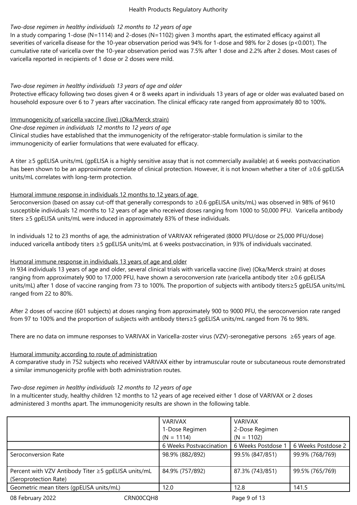# *Two-dose regimen in healthy individuals 12 months to 12 years of age*

In a study comparing 1-dose (N=1114) and 2-doses (N=1102) given 3 months apart, the estimated efficacy against all severities of varicella disease for the 10-year observation period was 94% for 1-dose and 98% for 2 doses (p<0.001). The cumulative rate of varicella over the 10-year observation period was 7.5% after 1 dose and 2.2% after 2 doses. Most cases of varicella reported in recipients of 1 dose or 2 doses were mild.

# *Two-dose regimen in healthy individuals 13 years of age and older*

Protective efficacy following two doses given 4 or 8 weeks apart in individuals 13 years of age or older was evaluated based on household exposure over 6 to 7 years after vaccination. The clinical efficacy rate ranged from approximately 80 to 100%.

### Immunogenicity of varicella vaccine (live) (Oka/Merck strain)

#### *One-dose regimen in individuals 12 months to 12 years of age*

Clinical studies have established that the immunogenicity of the refrigerator-stable formulation is similar to the immunogenicity of earlier formulations that were evaluated for efficacy.

A titer ≥5 gpELISA units/mL (gpELISA is a highly sensitive assay that is not commercially available) at 6 weeks postvaccination has been shown to be an approximate correlate of clinical protection. However, it is not known whether a titer of ≥0.6 gpELISA units/mL correlates with long-term protection.

# Humoral immune response in individuals 12 months to 12 years of age

Seroconversion (based on assay cut-off that generally corresponds to ≥0.6 gpELISA units/mL) was observed in 98% of 9610 susceptible individuals 12 months to 12 years of age who received doses ranging from 1000 to 50,000 PFU. Varicella antibody titers ≥5 gpELISA units/mL were induced in approximately 83% of these individuals.

In individuals 12 to 23 months of age, the administration of VARIVAX refrigerated (8000 PFU/dose or 25,000 PFU/dose) induced varicella antibody titers ≥5 gpELISA units/mL at 6 weeks postvaccination, in 93% of individuals vaccinated.

# Humoral immune response in individuals 13 years of age and older

In 934 individuals 13 years of age and older, several clinical trials with varicella vaccine (live) (Oka/Merck strain) at doses ranging from approximately 900 to 17,000 PFU, have shown a seroconversion rate (varicella antibody titer ≥0.6 gpELISA units/mL) after 1 dose of vaccine ranging from 73 to 100%. The proportion of subjects with antibody titers≥5 gpELISA units/mL ranged from 22 to 80%.

After 2 doses of vaccine (601 subjects) at doses ranging from approximately 900 to 9000 PFU, the seroconversion rate ranged from 97 to 100% and the proportion of subjects with antibody titers≥5 gpELISA units/mL ranged from 76 to 98%.

There are no data on immune responses to VARIVAX in Varicella‑zoster virus (VZV)-seronegative persons ≥65 years of age.

#### Humoral immunity according to route of administration

A comparative study in 752 subjects who received VARIVAX either by intramuscular route or subcutaneous route demonstrated a similar immunogenicity profile with both administration routes.

#### *Two-dose regimen in healthy individuals 12 months to 12 years of age*

In a multicenter study, healthy children 12 months to 12 years of age received either 1 dose of VARIVAX or 2 doses administered 3 months apart. The immunogenicity results are shown in the following table.

|                                                     |           | <b>VARIVAX</b>          | <b>VARIVAX</b>     |                    |
|-----------------------------------------------------|-----------|-------------------------|--------------------|--------------------|
|                                                     |           | 1-Dose Regimen          | 2-Dose Regimen     |                    |
|                                                     |           | $(N = 1114)$            | $(N = 1102)$       |                    |
|                                                     |           | 6 Weeks Postvaccination | 6 Weeks Postdose 1 | 6 Weeks Postdose 2 |
| Seroconversion Rate                                 |           | 98.9% (882/892)         | 99.5% (847/851)    | 99.9% (768/769)    |
|                                                     |           |                         |                    |                    |
| Percent with VZV Antibody Titer ≥5 gpELISA units/mL |           | 84.9% (757/892)         | 87.3% (743/851)    | 99.5% (765/769)    |
| (Seroprotection Rate)                               |           |                         |                    |                    |
| Geometric mean titers (qpELISA units/mL)            |           | 12.0                    | 12.8               | 141.5              |
| 08 February 2022                                    | CRN00CQH8 |                         | Page 9 of 13       |                    |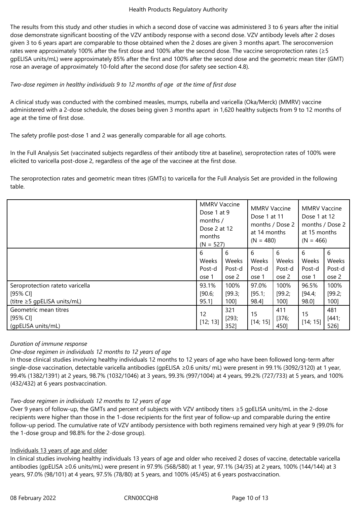The results from this study and other studies in which a second dose of vaccine was administered 3 to 6 years after the initial dose demonstrate significant boosting of the VZV antibody response with a second dose. VZV antibody levels after 2 doses given 3 to 6 years apart are comparable to those obtained when the 2 doses are given 3 months apart. The seroconversion rates were approximately 100% after the first dose and 100% after the second dose. The vaccine seroprotection rates (≥5 gpELISA units/mL) were approximately 85% after the first and 100% after the second dose and the geometric mean titer (GMT) rose an average of approximately 10-fold after the second dose (for safety see section 4.8).

# *Two‑dose regimen in healthy individuals 9 to 12 months of age at the time of first dose*

A clinical study was conducted with the combined measles, mumps, rubella and varicella (Oka/Merck) (MMRV) vaccine administered with a 2‑dose schedule, the doses being given 3 months apart in 1,620 healthy subjects from 9 to 12 months of age at the time of first dose.

The safety profile post-dose 1 and 2 was generally comparable for all age cohorts.

In the Full Analysis Set (vaccinated subjects regardless of their antibody titre at baseline), seroprotection rates of 100% were elicited to varicella post‑dose 2, regardless of the age of the vaccinee at the first dose.

The seroprotection rates and geometric mean titres (GMTs) to varicella for the Full Analysis Set are provided in the following table.

|                                                         | <b>MMRV Vaccine</b><br>Dose 1 at 9<br>months /<br>Dose 2 at 12<br>months<br>$(N = 527)$ |                      | <b>MMRV Vaccine</b><br>Dose 1 at 11<br>months / Dose 2<br>at 14 months<br>$(N = 480)$ |                      | <b>MMRV Vaccine</b><br>Dose 1 at 12<br>months / Dose 2<br>at 15 months<br>$(N = 466)$ |                      |
|---------------------------------------------------------|-----------------------------------------------------------------------------------------|----------------------|---------------------------------------------------------------------------------------|----------------------|---------------------------------------------------------------------------------------|----------------------|
|                                                         | 6<br>Weeks                                                                              | 6<br>Weeks           | 6<br>Weeks                                                                            | 6<br>Weeks           | 6<br>Weeks                                                                            | 6<br>Weeks           |
|                                                         | Post-d                                                                                  | Post-d               | Post-d                                                                                | Post-d               | Post-d                                                                                | Post-d               |
|                                                         | ose 1                                                                                   | ose 2                | ose 1                                                                                 | ose 2                | ose 1                                                                                 | ose 2                |
| Seroprotection rateto varicella                         | 93.1%                                                                                   | 100%                 | 97.0%                                                                                 | 100%                 | 96.5%                                                                                 | 100%                 |
| [95% CI]                                                | [90.6;                                                                                  | [99.3;               | [95.1;                                                                                | [99.2;               | [94.4;                                                                                | [99.2;               |
| (titre $\geq$ 5 gpELISA units/mL)                       | 95.1]                                                                                   | 1001                 | 98.4]                                                                                 | 1001                 | 98.0]                                                                                 | 100]                 |
| Geometric mean titres<br>[95% CI]<br>(qpELISA units/mL) | 12<br>[12; 13]                                                                          | 321<br>[293;<br>3521 | 15<br>[14; 15]                                                                        | 411<br>[376;<br>450] | 15<br>[14; 15]                                                                        | 481<br>[441;<br>5261 |

#### *Duration of immune response*

# *One-dose regimen in individuals 12 months to 12 years of age*

In those clinical studies involving healthy individuals 12 months to 12 years of age who have been followed long-term after single-dose vaccination, detectable varicella antibodies (gpELISA ≥0.6 units/ mL) were present in 99.1% (3092/3120) at 1 year, 99.4% (1382/1391) at 2 years, 98.7% (1032/1046) at 3 years, 99.3% (997/1004) at 4 years, 99.2% (727/733) at 5 years, and 100% (432/432) at 6 years postvaccination.

# *Two-dose regimen in individuals 12 months to 12 years of age*

Over 9 years of follow-up, the GMTs and percent of subjects with VZV antibody titers ≥5 gpELISA units/mL in the 2-dose recipients were higher than those in the 1-dose recipients for the first year of follow-up and comparable during the entire follow-up period. The cumulative rate of VZV antibody persistence with both regimens remained very high at year 9 (99.0% for the 1-dose group and 98.8% for the 2-dose group).

# Individuals 13 years of age and older

In clinical studies involving healthy individuals 13 years of age and older who received 2 doses of vaccine, detectable varicella antibodies (gpELISA ≥0.6 units/mL) were present in 97.9% (568/580) at 1 year, 97.1% (34/35) at 2 years, 100% (144/144) at 3 years, 97.0% (98/101) at 4 years, 97.5% (78/80) at 5 years, and 100% (45/45) at 6 years postvaccination.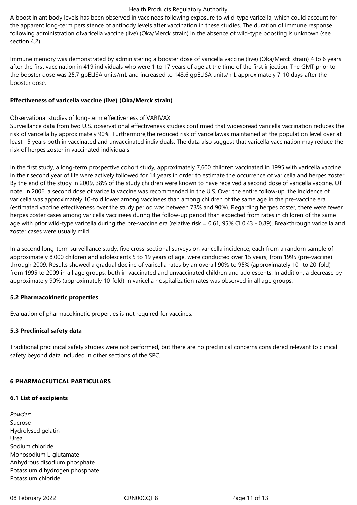A boost in antibody levels has been observed in vaccinees following exposure to wild-type varicella, which could account for the apparent long-term persistence of antibody levels after vaccination in these studies. The duration of immune response following administration ofvaricella vaccine (live) (Oka/Merck strain) in the absence of wild-type boosting is unknown (see section 4.2).

Immune memory was demonstrated by administering a booster dose of varicella vaccine (live) (Oka/Merck strain) 4 to 6 years after the first vaccination in 419 individuals who were 1 to 17 years of age at the time of the first injection. The GMT prior to the booster dose was 25.7 gpELISA units/mL and increased to 143.6 gpELISA units/mL approximately 7-10 days after the booster dose.

#### **Effectiveness of varicella vaccine (live) (Oka/Merck strain)**

### Observational studies of long-term effectiveness of VARIVAX

Surveillance data from two U.S. observational effectiveness studies confirmed that widespread varicella vaccination reduces the risk of varicella by approximately 90%. Furthermore,the reduced risk of varicellawas maintained at the population level over at least 15 years both in vaccinated and unvaccinated individuals. The data also suggest that varicella vaccination may reduce the risk of herpes zoster in vaccinated individuals.

In the first study, a long-term prospective cohort study, approximately 7,600 children vaccinated in 1995 with varicella vaccine in their second year of life were actively followed for 14 years in order to estimate the occurrence of varicella and herpes zoster. By the end of the study in 2009, 38% of the study children were known to have received a second dose of varicella vaccine. Of note, in 2006, a second dose of varicella vaccine was recommended in the U.S. Over the entire follow-up, the incidence of varicella was approximately 10-fold lower among vaccinees than among children of the same age in the pre-vaccine era (estimated vaccine effectiveness over the study period was between 73% and 90%). Regarding herpes zoster, there were fewer herpes zoster cases among varicella vaccinees during the follow-up period than expected from rates in children of the same age with prior wild-type varicella during the pre-vaccine era (relative risk = 0.61, 95% CI 0.43 - 0.89). Breakthrough varicella and zoster cases were usually mild.

In a second long-term surveillance study, five cross-sectional surveys on varicella incidence, each from a random sample of approximately 8,000 children and adolescents 5 to 19 years of age, were conducted over 15 years, from 1995 (pre-vaccine) through 2009. Results showed a gradual decline of varicella rates by an overall 90% to 95% (approximately 10- to 20-fold) from 1995 to 2009 in all age groups, both in vaccinated and unvaccinated children and adolescents. In addition, a decrease by approximately 90% (approximately 10‑fold) in varicella hospitalization rates was observed in all age groups.

#### **5.2 Pharmacokinetic properties**

Evaluation of pharmacokinetic properties is not required for vaccines.

# **5.3 Preclinical safety data**

Traditional preclinical safety studies were not performed, but there are no preclinical concerns considered relevant to clinical safety beyond data included in other sections of the SPC.

# **6 PHARMACEUTICAL PARTICULARS**

#### **6.1 List of excipients**

*Powder:* Sucrose Hydrolysed gelatin Urea Sodium chloride Monosodium L-glutamate Anhydrous disodium phosphate Potassium dihydrogen phosphate Potassium chloride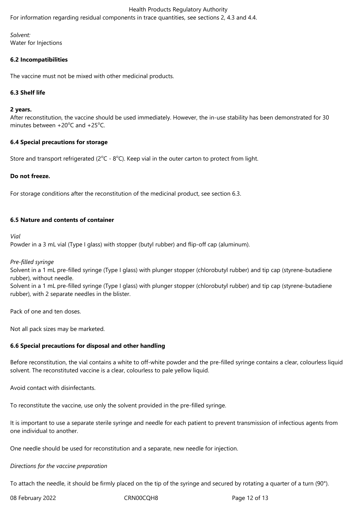For information regarding residual components in trace quantities, see sections 2, 4.3 and 4.4.

#### *Solvent:* Water for Injections

### **6.2 Incompatibilities**

The vaccine must not be mixed with other medicinal products.

#### **6.3 Shelf life**

#### **2 years.**

After reconstitution, the vaccine should be used immediately. However, the in-use stability has been demonstrated for 30 minutes between  $+20^{\circ}$ C and  $+25^{\circ}$ C.

#### **6.4 Special precautions for storage**

Store and transport refrigerated ( $2^{\circ}$ C -  $8^{\circ}$ C). Keep vial in the outer carton to protect from light.

#### **Do not freeze.**

For storage conditions after the reconstitution of the medicinal product, see section 6.3.

#### **6.5 Nature and contents of container**

*Vial*

Powder in a 3 mL vial (Type I glass) with stopper (butyl rubber) and flip-off cap (aluminum).

#### *Pre-filled syringe*

Solvent in a 1 mL pre-filled syringe (Type I glass) with plunger stopper (chlorobutyl rubber) and tip cap (styrene-butadiene rubber), without needle.

Solvent in a 1 mL pre-filled syringe (Type I glass) with plunger stopper (chlorobutyl rubber) and tip cap (styrene-butadiene rubber), with 2 separate needles in the blister.

Pack of one and ten doses.

Not all pack sizes may be marketed.

#### **6.6 Special precautions for disposal and other handling**

Before reconstitution, the vial contains a white to off-white powder and the pre-filled syringe contains a clear, colourless liquid solvent. The reconstituted vaccine is a clear, colourless to pale yellow liquid.

Avoid contact with disinfectants.

To reconstitute the vaccine, use only the solvent provided in the pre-filled syringe.

It is important to use a separate sterile syringe and needle for each patient to prevent transmission of infectious agents from one individual to another.

One needle should be used for reconstitution and a separate, new needle for injection.

#### *Directions for the vaccine preparation*

To attach the needle, it should be firmly placed on the tip of the syringe and secured by rotating a quarter of a turn (90°).

08 February 2022 CRN00CQH8 CRNOCCH8 Page 12 of 13